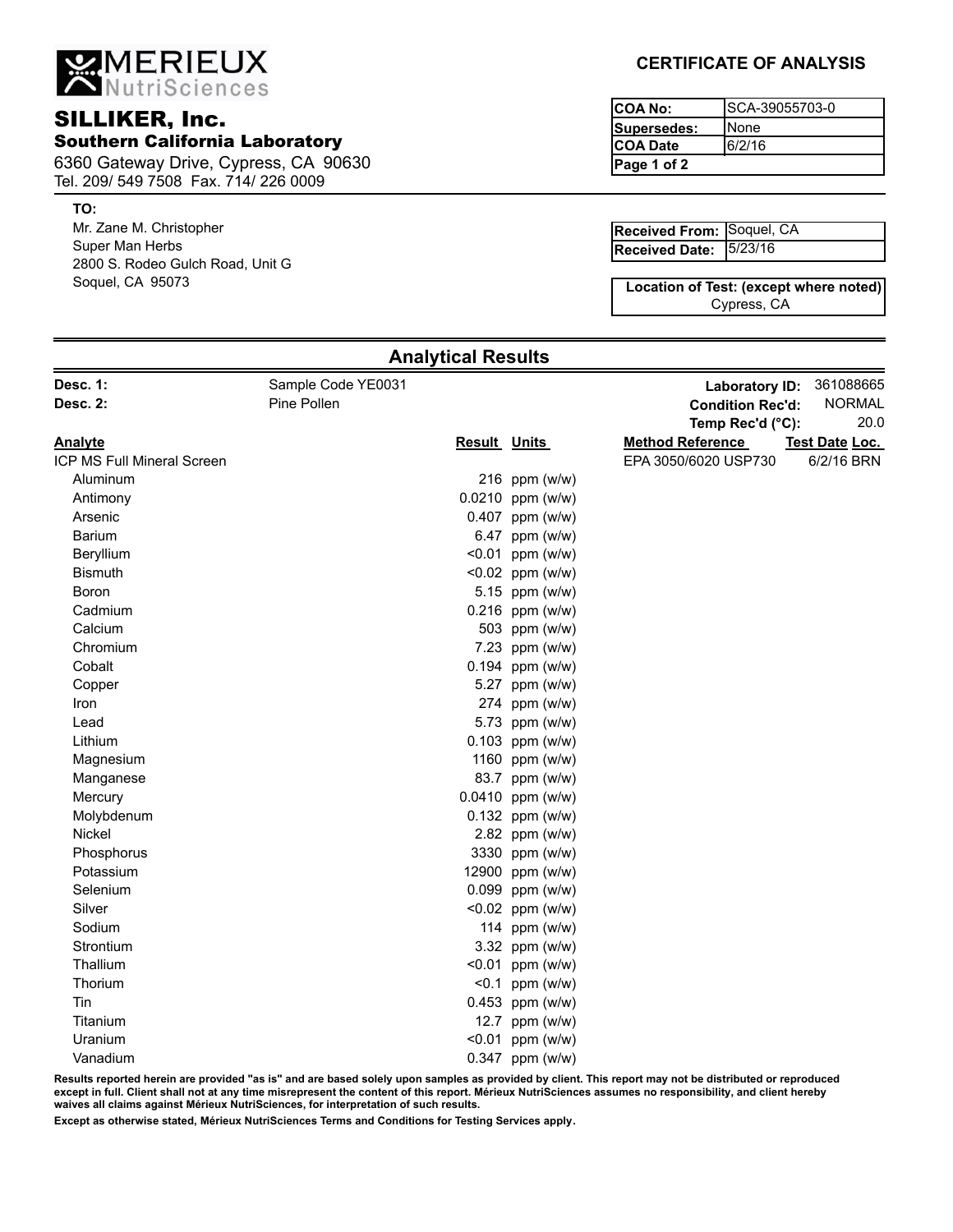MERIEUX

# SILLIKER, Inc. Southern California Laboratory

6360 Gateway Drive, Cypress, CA 90630 Tel. 209/ 549 7508 Fax. 714/ 226 0009

### **TO:**

Mr. Zane M. Christopher Super Man Herbs 2800 S. Rodeo Gulch Road, Unit G Soquel, CA 95073

## **CERTIFICATE OF ANALYSIS**

| ICOA No:     | ISCA-39055703-0 |
|--------------|-----------------|
| Supersedes:  | ıNone           |
| ICOA Date    | 6/2/16          |
| lPage 1 of 2 |                 |

| Received From: Soquel, CA |  |
|---------------------------|--|
| Received Date: 5/23/16    |  |

Cypress, CA **Location of Test: (except where noted)**

| Desc. 1:                   | Sample Code YE0031 |                     |                    | Laboratory ID:          | 361088665      |
|----------------------------|--------------------|---------------------|--------------------|-------------------------|----------------|
| Desc. 2:                   | Pine Pollen        |                     |                    | <b>Condition Rec'd:</b> | <b>NORMAL</b>  |
|                            |                    |                     |                    | Temp Rec'd (°C):        | 20.0           |
| <b>Analyte</b>             |                    | <b>Result Units</b> |                    | <b>Method Reference</b> | Test Date Loc. |
| ICP MS Full Mineral Screen |                    |                     |                    | EPA 3050/6020 USP730    | 6/2/16 BRN     |
| Aluminum                   |                    |                     | 216 ppm (w/w)      |                         |                |
| Antimony                   |                    |                     | 0.0210 ppm (w/w)   |                         |                |
| Arsenic                    |                    |                     | $0.407$ ppm (w/w)  |                         |                |
| <b>Barium</b>              |                    |                     | 6.47 ppm (w/w)     |                         |                |
| Beryllium                  |                    |                     | $< 0.01$ ppm (w/w) |                         |                |
| <b>Bismuth</b>             |                    |                     | $< 0.02$ ppm (w/w) |                         |                |
| Boron                      |                    |                     | 5.15 ppm (w/w)     |                         |                |
| Cadmium                    |                    |                     | $0.216$ ppm (w/w)  |                         |                |
| Calcium                    |                    |                     | 503 ppm (w/w)      |                         |                |
| Chromium                   |                    |                     | 7.23 ppm (w/w)     |                         |                |
| Cobalt                     |                    |                     | $0.194$ ppm (w/w)  |                         |                |
| Copper                     |                    |                     | 5.27 ppm (w/w)     |                         |                |
| Iron                       |                    |                     | 274 ppm (w/w)      |                         |                |
| Lead                       |                    |                     | 5.73 ppm (w/w)     |                         |                |
| Lithium                    |                    |                     | 0.103 ppm (w/w)    |                         |                |
| Magnesium                  |                    |                     | 1160 ppm (w/w)     |                         |                |
| Manganese                  |                    |                     | 83.7 ppm (w/w)     |                         |                |
| Mercury                    |                    |                     | 0.0410 ppm (w/w)   |                         |                |
| Molybdenum                 |                    |                     | $0.132$ ppm (w/w)  |                         |                |
| Nickel                     |                    |                     | 2.82 ppm (w/w)     |                         |                |
| Phosphorus                 |                    |                     | 3330 ppm (w/w)     |                         |                |
| Potassium                  |                    |                     | 12900 ppm (w/w)    |                         |                |
| Selenium                   |                    |                     | 0.099 ppm (w/w)    |                         |                |
| Silver                     |                    |                     | <0.02 ppm (w/w)    |                         |                |
| Sodium                     |                    |                     | 114 ppm (w/w)      |                         |                |
| Strontium                  |                    |                     | 3.32 ppm (w/w)     |                         |                |
| Thallium                   |                    |                     | $< 0.01$ ppm (w/w) |                         |                |
| Thorium                    |                    |                     | $< 0.1$ ppm (w/w)  |                         |                |
| Tin                        |                    |                     | $0.453$ ppm (w/w)  |                         |                |
| Titanium                   |                    |                     | 12.7 ppm (w/w)     |                         |                |
| Uranium                    |                    |                     | $< 0.01$ ppm (w/w) |                         |                |
| Vanadium                   |                    |                     | 0.347 ppm (w/w)    |                         |                |

**Analytical Results**

**Results reported herein are provided "as is" and are based solely upon samples as provided by client. This report may not be distributed or reproduced except in full. Client shall not at any time misrepresent the content of this report. Mérieux NutriSciences assumes no responsibility, and client hereby waives all claims against Mérieux NutriSciences, for interpretation of such results.**

**Except as otherwise stated, Mérieux NutriSciences Terms and Conditions for Testing Services apply.**